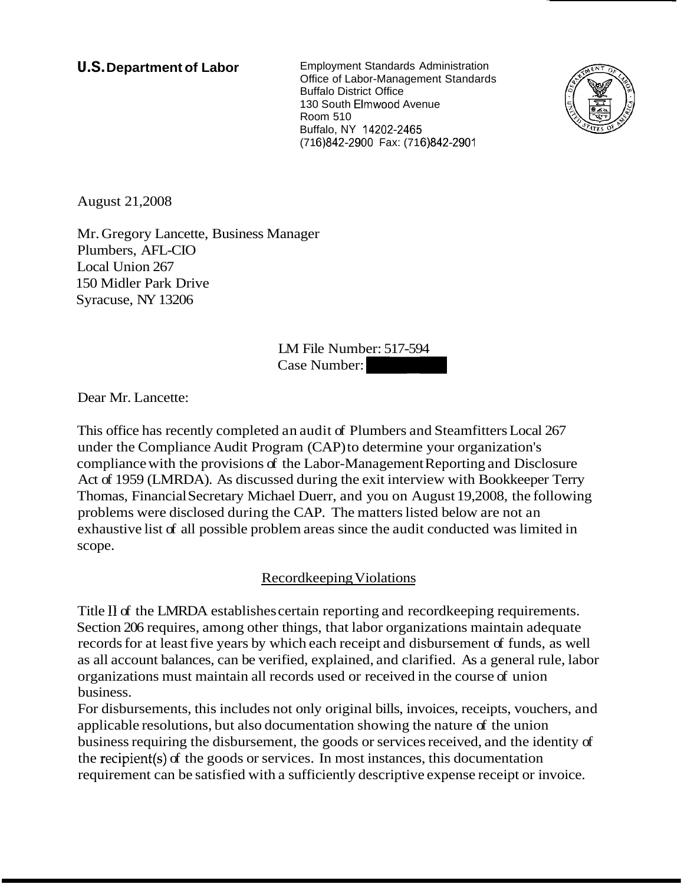**U.S. Department of Labor** Employment Standards Administration Office of Labor-Management Standards Buffalo District Office 130 South Elmwood Avenue Room 510 Buffalo, NY 14202-2465 (71 6)842-2900 Fax: (71 6)842-2901



August 21,2008

Mr. Gregory Lancette, Business Manager Plumbers, AFL-CIO Local Union 267 150 Midler Park Drive Syracuse, NY 13206

LM File Number: 517-594 (716)842-2900 Fax: (716)842-2901<br>(716)842-2900 Fax: (716)842-2901<br>LM File Number: 517-594<br>Case Number:

Dear Mr. Lancette:

This office has recently completed an audit of Plumbers and Steamfitters Local 267 under the Compliance Audit Program (CAP) to determine your organization's compliance with the provisions of the Labor-Management Reporting and Disclosure Act of 1959 (LMRDA). As discussed during the exit interview with Bookkeeper Terry Thomas, Financial Secretary Michael Duerr, and you on August 19,2008, the following problems were disclosed during the CAP. The matters listed below are not an exhaustive list of all possible problem areas since the audit conducted was limited in scope.

# Recordkeeping Violations

Title I1 of the LMRDA establishes certain reporting and recordkeeping requirements. Section 206 requires, among other things, that labor organizations maintain adequate records for at least five years by which each receipt and disbursement of funds, as well as all account balances, can be verified, explained, and clarified. As a general rule, labor organizations must maintain all records used or received in the course of union business.

For disbursements, this includes not only original bills, invoices, receipts, vouchers, and applicable resolutions, but also documentation showing the nature of the union business requiring the disbursement, the goods or services received, and the identity of the recipient(s) of the goods or services. In most instances, this documentation requirement can be satisfied with a sufficiently descriptive expense receipt or invoice.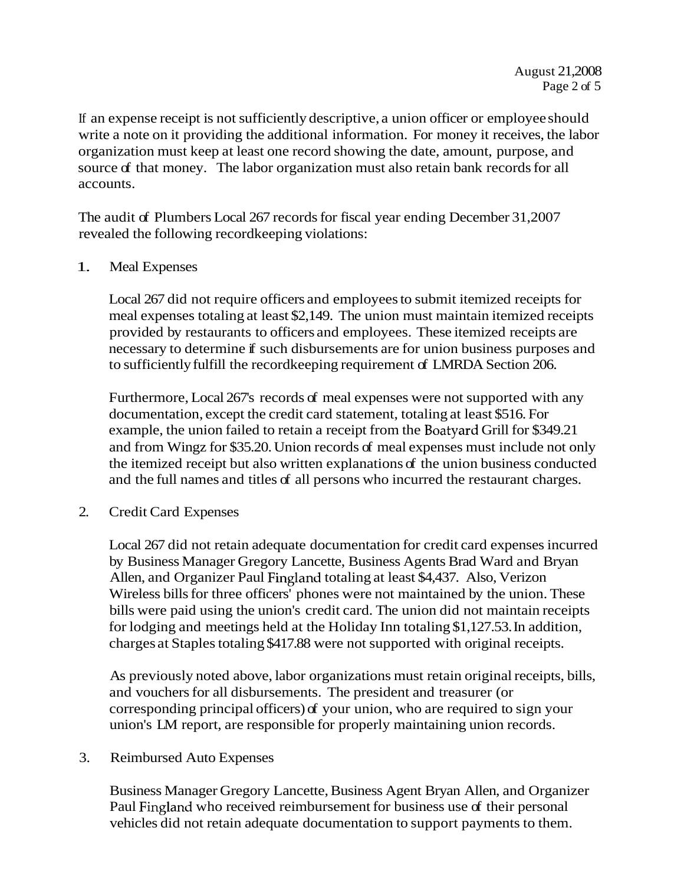If an expense receipt is not sufficiently descriptive, a union officer or employee should write a note on it providing the additional information. For money it receives, the labor organization must keep at least one record showing the date, amount, purpose, and source of that money. The labor organization must also retain bank records for all accounts.

The audit of Plumbers Local 267 records for fiscal year ending December 31,2007 revealed the following recordkeeping violations:

#### 1. Meal Expenses

Local 267 did not require officers and employees to submit itemized receipts for meal expenses totaling at least \$2,149. The union must maintain itemized receipts provided by restaurants to officers and employees. These itemized receipts are necessary to determine if such disbursements are for union business purposes and to sufficiently fulfill the recordkeeping requirement of LMRDA Section 206.

Furthermore, Local 267's records of meal expenses were not supported with any documentation, except the credit card statement, totaling at least \$516. For example, the union failed to retain a receipt from the Boatyard Grill for \$349.21 and from Wingz for \$35.20. Union records of meal expenses must include not only the itemized receipt but also written explanations of the union business conducted and the full names and titles of all persons who incurred the restaurant charges.

2. Credit Card Expenses

Local 267 did not retain adequate documentation for credit card expenses incurred by Business Manager Gregory Lancette, Business Agents Brad Ward and Bryan Allen, and Organizer Paul Fingland totaling at least \$4,437. Also, Verizon Wireless bills for three officers' phones were not maintained by the union. These bills were paid using the union's credit card. The union did not maintain receipts for lodging and meetings held at the Holiday Inn totaling \$1,127.53. In addition, charges at Staples totaling \$417.88 were not supported with original receipts.

As previously noted above, labor organizations must retain original receipts, bills, and vouchers for all disbursements. The president and treasurer (or corresponding principal officers) of your union, who are required to sign your union's LM report, are responsible for properly maintaining union records.

# 3. Reimbursed Auto Expenses

Business Manager Gregory Lancette, Business Agent Bryan Allen, and Organizer Paul Fingland who received reimbursement for business use of their personal vehicles did not retain adequate documentation to support payments to them.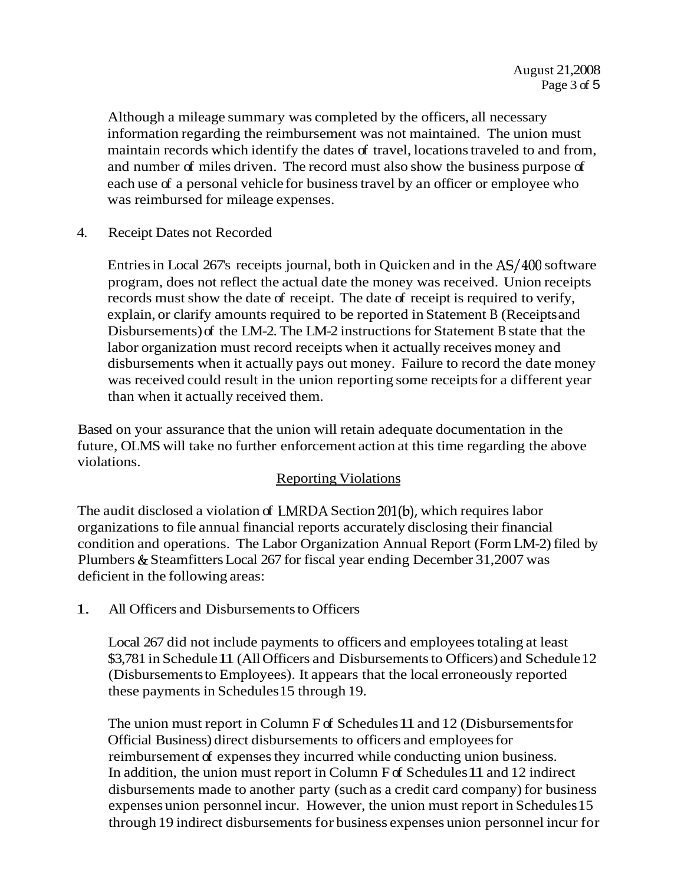Although a mileage summary was completed by the officers, all necessary information regarding the reimbursement was not maintained. The union must maintain records which identify the dates of travel, locations traveled to and from, and number of miles driven. The record must also show the business purpose of each use of a personal vehicle for business travel by an officer or employee who was reimbursed for mileage expenses.

4. Receipt Dates not Recorded

Entries in Local 267's receipts journal, both in Quicken and in the AS/400 software program, does not reflect the actual date the money was received. Union receipts records must show the date of receipt. The date of receipt is required to verify, explain, or clarify amounts required to be reported in Statement B (Receipts and Disbursements) of the LM-2. The LM-2 instructions for Statement B state that the labor organization must record receipts when it actually receives money and disbursements when it actually pays out money. Failure to record the date money was received could result in the union reporting some receipts for a different year than when it actually received them.

Based on your assurance that the union will retain adequate documentation in the future, OLMS will take no further enforcement action at this time regarding the above violations.

# Reporting Violations

The audit disclosed a violation of LNIRDA Section 201(b), which requires labor organizations to file annual financial reports accurately disclosing their financial condition and operations. The Labor Organization Annual Report (Form LM-2) filed by Plumbers & Steamfitters Local 267 for fiscal year ending December 31,2007 was deficient in the following areas:

1. All Officers and Disbursements to Officers

Local 267 did not include payments to officers and employees totaling at least \$3,781 in Schedule 11 (All Officers and Disbursements to Officers) and Schedule 12 (Disbursements to Employees). It appears that the local erroneously reported these payments in Schedules 15 through 19.

The union must report in Column F of Schedules 11 and 12 (Disbursements for Official Business) direct disbursements to officers and employees for reimbursement of expenses they incurred while conducting union business. In addition, the union must report in Column F of Schedules 11 and 12 indirect disbursements made to another party (such as a credit card company) for business expenses union personnel incur. However, the union must report in Schedules 15 through 19 indirect disbursements for business expenses union personnel incur for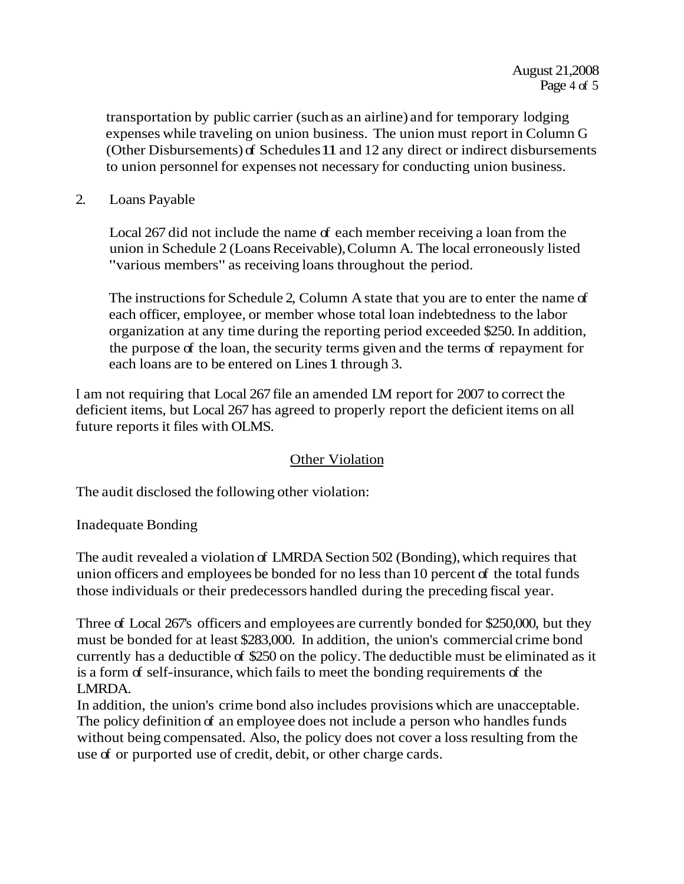transportation by public carrier (such as an airline) and for temporary lodging expenses while traveling on union business. The union must report in Column G (Other Disbursements) of Schedules 11 and 12 any direct or indirect disbursements to union personnel for expenses not necessary for conducting union business.

2. Loans Payable

Local 267 did not include the name of each member receiving a loan from the union in Schedule 2 (Loans Receivable), Column A. The local erroneously listed "various members" as receiving loans throughout the period.

The instructions for Schedule 2, Column A state that you are to enter the name of each officer, employee, or member whose total loan indebtedness to the labor organization at any time during the reporting period exceeded \$250. In addition, the purpose of the loan, the security terms given and the terms of repayment for each loans are to be entered on Lines 1 through 3.

I am not requiring that Local 267 file an amended LM report for 2007 to correct the deficient items, but Local 267 has agreed to properly report the deficient items on all future reports it files with OLMS.

# Other Violation

The audit disclosed the following other violation:

Inadequate Bonding

The audit revealed a violation of LMRDA Section 502 (Bonding), which requires that union officers and employees be bonded for no less than 10 percent of the total funds those individuals or their predecessors handled during the preceding fiscal year.

Three of Local 267's officers and employees are currently bonded for \$250,000, but they must be bonded for at least \$283,000. In addition, the union's commercial crime bond currently has a deductible of \$250 on the policy. The deductible must be eliminated as it is a form of self-insurance, which fails to meet the bonding requirements of the LMRDA.

In addition, the union's crime bond also includes provisions which are unacceptable. The policy definition of an employee does not include a person who handles funds without being compensated. Also, the policy does not cover a loss resulting from the use of or purported use of credit, debit, or other charge cards.